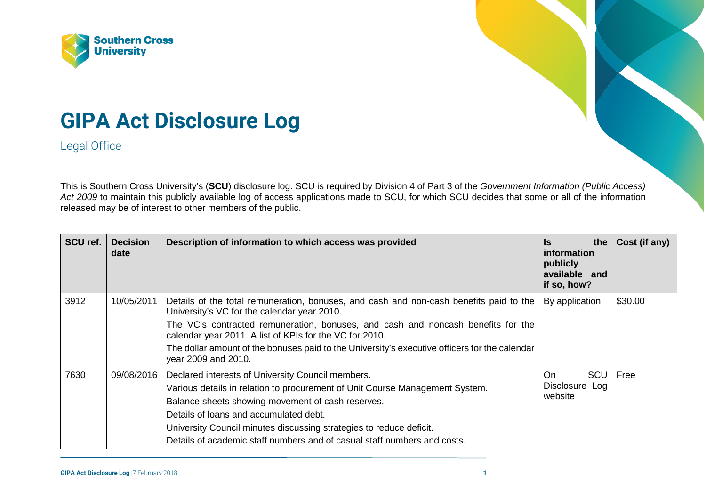



Legal Office

This is Southern Cross University's (**SCU**) disclosure log. SCU is required by Division 4 of Part 3 of the *Government Information (Public Access)*  Act 2009 to maintain this publicly available log of access applications made to SCU, for which SCU decides that some or all of the information released may be of interest to other members of the public.

| SCU ref. | <b>Decision</b><br>date | Description of information to which access was provided                                                                                     | the<br><b>Is</b><br><i>information</i><br>publicly<br>available and<br>if so, how? | Cost (if any) |
|----------|-------------------------|---------------------------------------------------------------------------------------------------------------------------------------------|------------------------------------------------------------------------------------|---------------|
| 3912     | 10/05/2011              | Details of the total remuneration, bonuses, and cash and non-cash benefits paid to the<br>University's VC for the calendar year 2010.       | By application                                                                     | \$30.00       |
|          |                         | The VC's contracted remuneration, bonuses, and cash and noncash benefits for the<br>calendar year 2011. A list of KPIs for the VC for 2010. |                                                                                    |               |
|          |                         | The dollar amount of the bonuses paid to the University's executive officers for the calendar<br>year 2009 and 2010.                        |                                                                                    |               |
| 7630     | 09/08/2016              | Declared interests of University Council members.<br>Various details in relation to procurement of Unit Course Management System.           | SCU<br>On.<br>Disclosure Log<br>website                                            | Free          |
|          |                         | Balance sheets showing movement of cash reserves.<br>Details of loans and accumulated debt.                                                 |                                                                                    |               |
|          |                         | University Council minutes discussing strategies to reduce deficit.                                                                         |                                                                                    |               |
|          |                         | Details of academic staff numbers and of casual staff numbers and costs.                                                                    |                                                                                    |               |